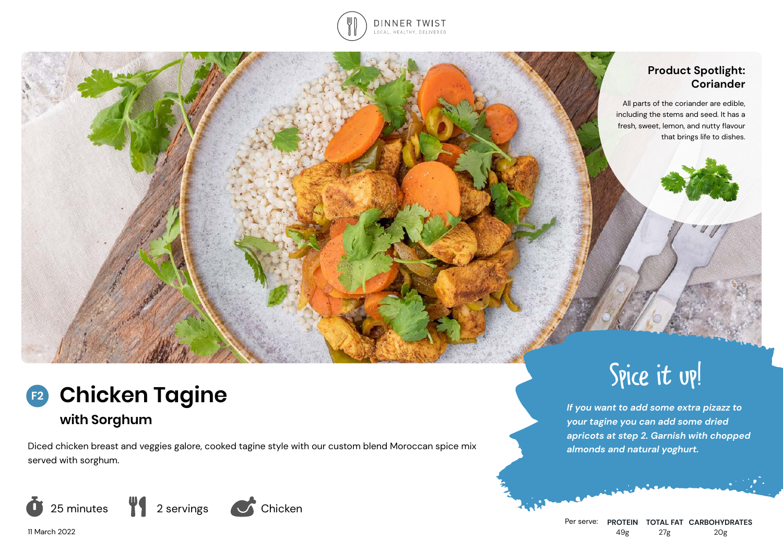

## **Product Spotlight: Coriander**

All parts of the coriander are edible, including the stems and seed. It has a fresh, sweet, lemon, and nutty flavour that brings life to dishes.



Diced chicken breast and veggies galore, cooked tagine style with our custom blend Moroccan spice mix served with sorghum.



Spice it up!

*If you want to add some extra pizazz to your tagine you can add some dried apricots at step 2. Garnish with chopped almonds and natural yoghurt.*